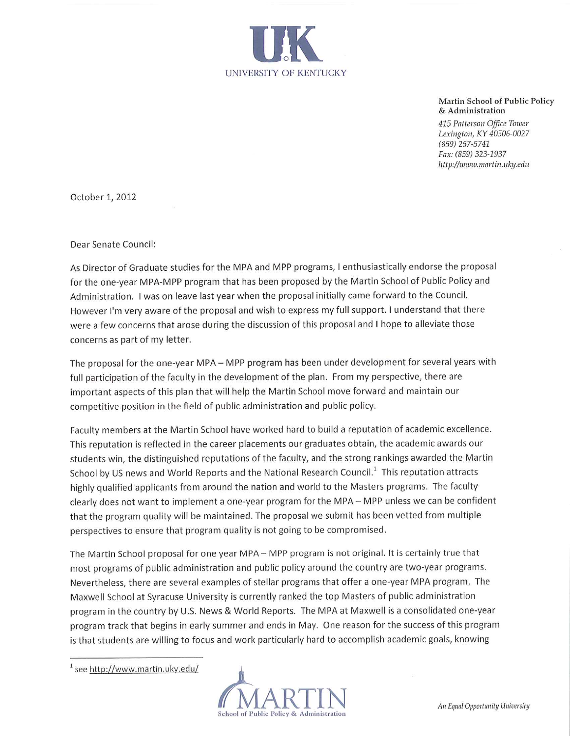

Martin School of Public Policy & Administration

415 Patterson Office Tower Lexington, KY 40506-0027  $(859)$  257-5741 Fax: (859) 323-1937 http://www.martin.uky.edu

October 1, 2012

Dear Senate Council:

As Director of Graduate studies for the MPA and MPP programs, I enthusiastically endorse the proposal for the one-year MPA-MPP program that has been proposed by the Martin School of Public Policy and Administration. I was on leave last year when the proposal initially came forward to the Council. However I'm very aware of the proposal and wish to express my full support. I understand that there were a few concerns that arose during the discussion of this proposal and I hope to alleviate those concerns as part of my letter.

The proposal for the one-year MPA - MPP program has been under development for several years with full participation of the faculty in the development of the plan. From my perspective, there are important aspects of this plan that will help the Martin School move forward and maintain our competitive position in the field of public administration and public policy.

Faculty members at the Martin School have worked hard to build a reputation of academic excellence. This reputation is reflected in the career placements our graduates obtain, the academic awards our students win, the distinguished reputations of the faculty, and the strong rankings awarded the Martin School by US news and World Reports and the National Research Council.<sup>1</sup> This reputation attracts highly qualified applicants from around the nation and world to the Masters programs. The faculty clearly does not want to implement a one-year program for the MPA - MPP unless we can be confident that the program quality will be maintained. The proposal we submit has been vetted from multiple perspectives to ensure that program quality is not going to be compromised.

The Martin School proposal for one year MPA - MPP program is not original. It is certainly true that most programs of public administration and public policy around the country are two-year programs. Nevertheless, there are several examples of stellar programs that offer a one-year MPA program. The Maxwell School at Syracuse University is currently ranked the top Masters of public administration program in the country by U.S. News & World Reports. The MPA at Maxwell is a consolidated one-year program track that begins in early summer and ends in May. One reason for the success of this program is that students are willing to focus and work particularly hard to accomplish academic goals, knowing

 $1$  see http://www.martin.uky.edu/

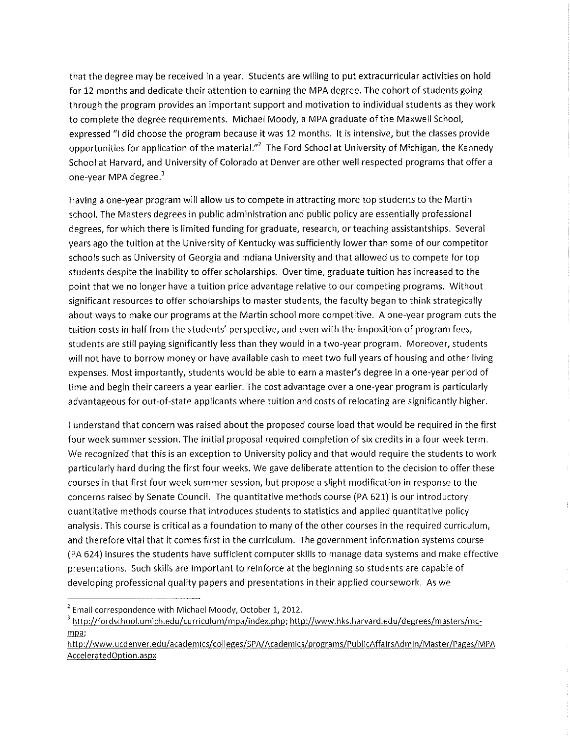that the degree may be received in a year. Students are willing to put extracurricular activities on hold for 12 months and dedicate their attention to earning the MPA degree. The cohort of students going through the program provides an important support and motivation to individual students as they work to complete the degree requirements. Michael Moody, a MPA graduate of the Maxwell School, expressed "I did choose the program because it was 12 months. It is intensive, but the classes provide opportunities for application of the material."<sup>2</sup> The Ford School at University of Michigan, the Kennedy School at Harvard, and University of Colorado at Denver are other well respected programs that offer a one-year MPA degree.<sup>3</sup>

Having a one-year program will allow us to compete in attracting more top students to the Martin school. The Masters degrees in public administration and public policy are essentially professional degrees, for which there is limited funding for graduate, research, or teaching assistantships. Several years ago the tuition at the University of Kentucky was sufficiently lower than some of our competitor schools such as University of Georgia and Indiana University and that allowed us to compete for top students despite the inability to offer scholarships. Over time, graduate tuition has increased to the point that we no longer have a tuition price advantage relative to our competing programs. Without significant resources to offer scholarships to master students, the faculty began to think strategically about ways to make our programs at the Martin school more competitive. A one-year program cuts the tuition costs in half from the students' perspective, and even with the imposition of program fees, students are still paying significantly less than they would in a two-year program. Moreover, students will not have to borrow money or have available cash to meet two full years of housing and other living expenses. Most importantly, students would be able to earn a master's degree in a one-year period of time and begin their careers a year earlier. The cost advantage over a one-year program is particularly advantageous for out-of-state applicants where tuition and costs of relocating are significantly higher.

I understand that concern was raised about the proposed course load that would be required in the first four week summer session. The initial proposal required completion of six credits in a four week term. We recognized that this is an exception to University policy and that would require the students to work particularly hard during the first four weeks. We gave deliberate attention to the decision to offer these courses in that first four week summer session, but propose a slight modification in response to the concerns raised by Senate Council. The quantitative methods course (PA 621) is our introductory quantitative methods course that introduces students to statistics and applied quantitative policy analysis. This course is critical as a foundation to many of the other courses in the required curriculum, and therefore vital that it comes first in the curriculum. The government information systems course (PA 624) insures the students have sufficient computer skills to manage data systems and make effective presentations. Such skills are important to reinforce at the beginning so students are capable of developing professional quality papers and presentations in their applied coursework. As we

<sup>&</sup>lt;sup>2</sup> Email correspondence with Michael Moody, October 1, 2012.

<sup>&</sup>lt;sup>3</sup> http://fordschool.umich.edu/curriculum/mpa/index.php; http://www.hks.harvard.edu/degrees/masters/mcmpa;

http://www.ucdenver.edu/academics/colleges/SPA/Academics/programs/PublicAffairsAdmin/Master/Pages/MPA AcceleratedOption.aspx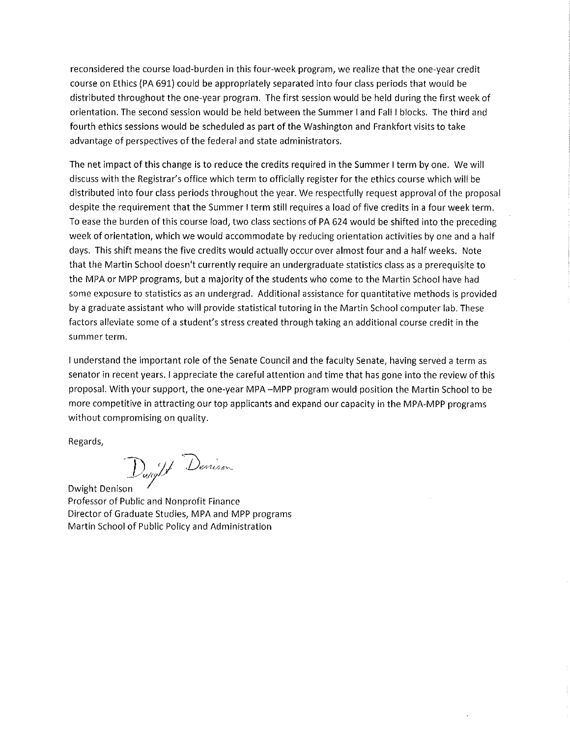reconsidered the course load-burden in this four-week program, we realize that the one-year credit course on Ethics (PA 691) could be appropriately separated into four class periods that would be distributed throughout the one-year program. The first session would be held during the first week of orientation. The second session would be held between the Summer I and Fall I blocks. The third and fourth ethics sessions would be scheduled as part of the Washington and Frankfort visits to take advantage of perspectives of the federal and state administrators.

The net impact of this change is to reduce the credits required in the Summer I term by one. We will discuss with the Registrar's office which term to officially register for the ethics course which will be distributed into four class periods throughout the year. We respectfully request approval of the proposal despite the requirement that the Summer I term still requires a load of five credits in a four week term. To ease the burden of this course load, two class sections of PA 624 would be shifted into the preceding week of orientation, which we would accommodate by reducing orientation activities by one and a half days. This shift means the five credits would actually occur over almost four and a half weeks. Note that the Martin School doesn't currently require an undergraduate statistics class as a prerequisite to the MPA or MPP programs, but a majority of the students who come to the Martin School have had some exposure to statistics as an undergrad. Additional assistance for quantitative methods is provided by a graduate assistant who will provide statistical tutoring in the Martin School computer lab. These factors alleviate some of a student's stress created through taking an additional course credit in the summer term.

I understand the important role of the Senate Council and the faculty Senate, having served a term as senator in recent years. I appreciate the careful attention and time that has gone into the review of this proposal. With your support, the one-year MPA -MPP program would position the Martin School to be more competitive in attracting our top applicants and expand our capacity in the MPA-MPP programs without compromising on quality.

Regards.

Dunght Denison

Dwight Denison Professor of Public and Nonprofit Finance Director of Graduate Studies, MPA and MPP programs Martin School of Public Policy and Administration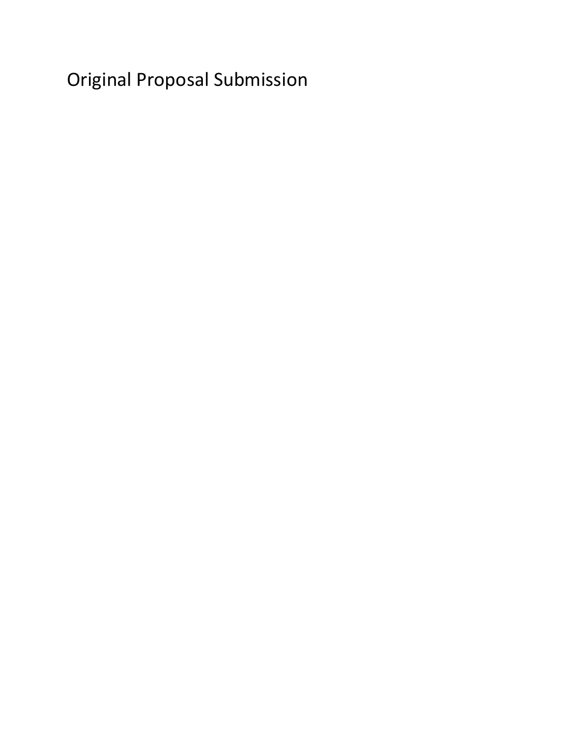Original Proposal Submission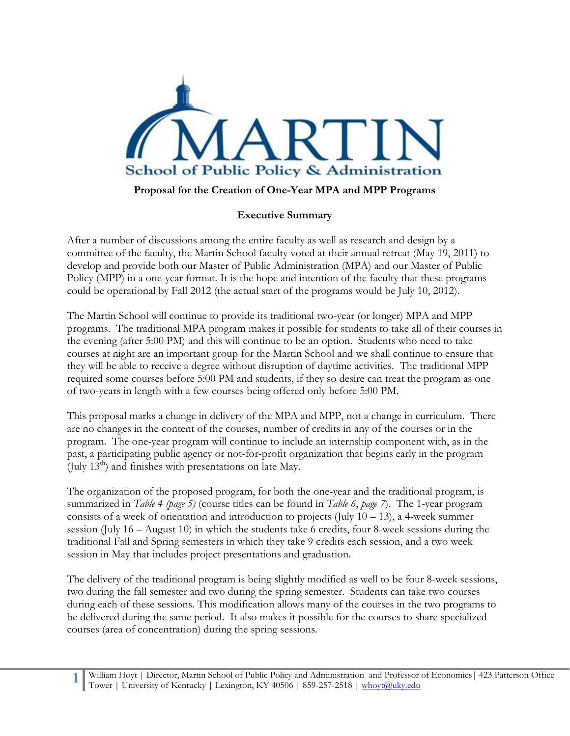

## **Proposal for the Creation of One-Year MPA and MPP Programs**

### **Executive Summary**

After a number of discussions among the entire faculty as well as research and design by a committee of the faculty, the Martin School faculty voted at their annual retreat (May 19, 2011) to develop and provide both our Master of Public Administration (MPA) and our Master of Public Policy (MPP) in a one-year format. It is the hope and intention of the faculty that these programs could be operational by Fall 2012 (the actual start of the programs would be July 10, 2012).

The Martin School will continue to provide its traditional two-year (or longer) MPA and MPP programs. The traditional MPA program makes it possible for students to take all of their courses in the evening (after 5:00 PM) and this will continue to be an option. Students who need to take courses at night are an important group for the Martin School and we shall continue to ensure that they will be able to receive a degree without disruption of daytime activities. The traditional MPP required some courses before 5:00 PM and students, if they so desire can treat the program as one of two-years in length with a few courses being offered only before 5:00 PM.

This proposal marks a change in delivery of the MPA and MPP, not a change in curriculum. There are no changes in the content of the courses, number of credits in any of the courses or in the program. The one-year program will continue to include an internship component with, as in the past, a participating public agency or not-for-profit organization that begins early in the program (July  $13<sup>th</sup>$ ) and finishes with presentations on late May.

The organization of the proposed program, for both the one-year and the traditional program, is summarized in *Table 4 (page 5)* (course titles can be found in *Table 6*, *page 7*). The 1-year program consists of a week of orientation and introduction to projects (July  $10 - 13$ ), a 4-week summer session (July 16 – August 10) in which the students take 6 credits, four 8-week sessions during the traditional Fall and Spring semesters in which they take 9 credits each session, and a two week session in May that includes project presentations and graduation.

The delivery of the traditional program is being slightly modified as well to be four 8-week sessions, two during the fall semester and two during the spring semester. Students can take two courses during each of these sessions. This modification allows many of the courses in the two programs to be delivered during the same period. It also makes it possible for the courses to share specialized courses (area of concentration) during the spring sessions.

**1** William Hoyt | Director, Martin School of Public Policy and Administration and Professor of Economics| 423 Patterson Office Tower | University of Kentucky | Lexington, KY 40506 | 859-257-2518 [| whoyt@uky.edu](mailto:whoyt@uky.edu)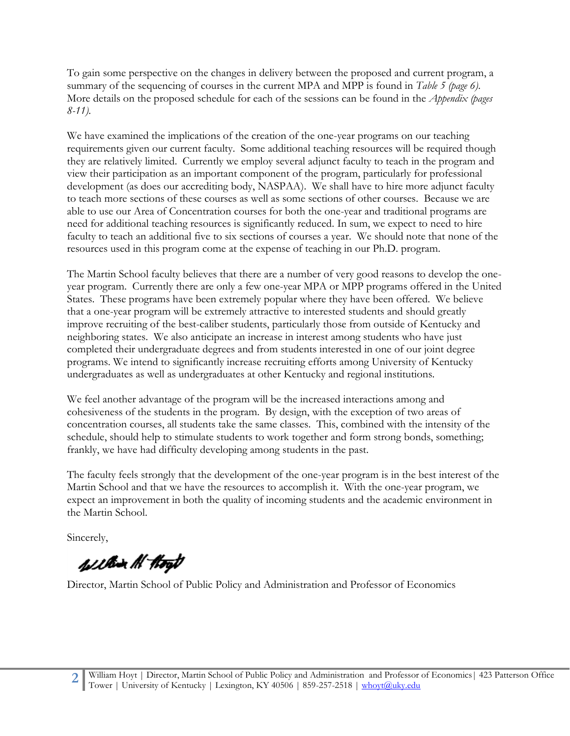To gain some perspective on the changes in delivery between the proposed and current program, a summary of the sequencing of courses in the current MPA and MPP is found in *Table 5 (page 6)*. More details on the proposed schedule for each of the sessions can be found in the *Appendix (pages 8-11).*

We have examined the implications of the creation of the one-year programs on our teaching requirements given our current faculty. Some additional teaching resources will be required though they are relatively limited. Currently we employ several adjunct faculty to teach in the program and view their participation as an important component of the program, particularly for professional development (as does our accrediting body, NASPAA). We shall have to hire more adjunct faculty to teach more sections of these courses as well as some sections of other courses. Because we are able to use our Area of Concentration courses for both the one-year and traditional programs are need for additional teaching resources is significantly reduced. In sum, we expect to need to hire faculty to teach an additional five to six sections of courses a year. We should note that none of the resources used in this program come at the expense of teaching in our Ph.D. program.

The Martin School faculty believes that there are a number of very good reasons to develop the oneyear program. Currently there are only a few one-year MPA or MPP programs offered in the United States. These programs have been extremely popular where they have been offered. We believe that a one-year program will be extremely attractive to interested students and should greatly improve recruiting of the best-caliber students, particularly those from outside of Kentucky and neighboring states. We also anticipate an increase in interest among students who have just completed their undergraduate degrees and from students interested in one of our joint degree programs. We intend to significantly increase recruiting efforts among University of Kentucky undergraduates as well as undergraduates at other Kentucky and regional institutions.

We feel another advantage of the program will be the increased interactions among and cohesiveness of the students in the program. By design, with the exception of two areas of concentration courses, all students take the same classes. This, combined with the intensity of the schedule, should help to stimulate students to work together and form strong bonds, something; frankly, we have had difficulty developing among students in the past.

The faculty feels strongly that the development of the one-year program is in the best interest of the Martin School and that we have the resources to accomplish it. With the one-year program, we expect an improvement in both the quality of incoming students and the academic environment in the Martin School.

Sincerely,

within Al Hogt

Director, Martin School of Public Policy and Administration and Professor of Economics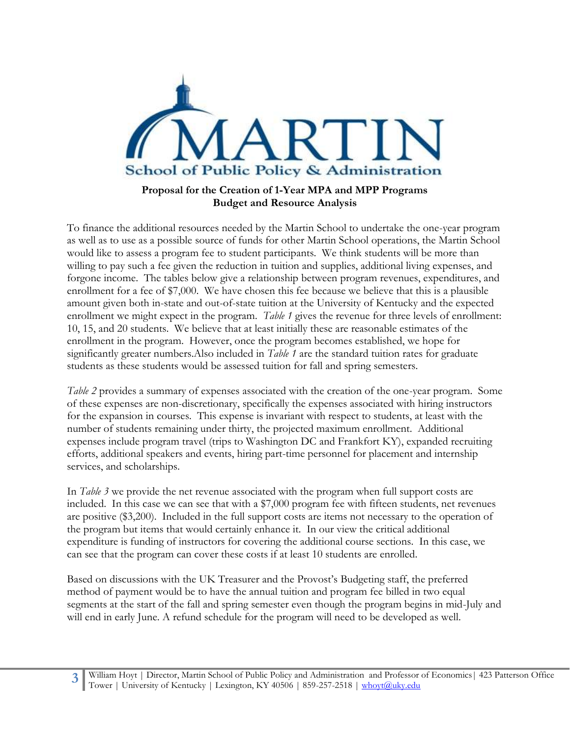

# **Proposal for the Creation of 1-Year MPA and MPP Programs Budget and Resource Analysis**

To finance the additional resources needed by the Martin School to undertake the one-year program as well as to use as a possible source of funds for other Martin School operations, the Martin School would like to assess a program fee to student participants. We think students will be more than willing to pay such a fee given the reduction in tuition and supplies, additional living expenses, and forgone income. The tables below give a relationship between program revenues, expenditures, and enrollment for a fee of \$7,000. We have chosen this fee because we believe that this is a plausible amount given both in-state and out-of-state tuition at the University of Kentucky and the expected enrollment we might expect in the program. *Table 1* gives the revenue for three levels of enrollment: 10, 15, and 20 students. We believe that at least initially these are reasonable estimates of the enrollment in the program. However, once the program becomes established, we hope for significantly greater numbers.Also included in *Table 1* are the standard tuition rates for graduate students as these students would be assessed tuition for fall and spring semesters.

*Table 2* provides a summary of expenses associated with the creation of the one-year program. Some of these expenses are non-discretionary, specifically the expenses associated with hiring instructors for the expansion in courses. This expense is invariant with respect to students, at least with the number of students remaining under thirty, the projected maximum enrollment. Additional expenses include program travel (trips to Washington DC and Frankfort KY), expanded recruiting efforts, additional speakers and events, hiring part-time personnel for placement and internship services, and scholarships.

In *Table 3* we provide the net revenue associated with the program when full support costs are included. In this case we can see that with a \$7,000 program fee with fifteen students, net revenues are positive (\$3,200). Included in the full support costs are items not necessary to the operation of the program but items that would certainly enhance it. In our view the critical additional expenditure is funding of instructors for covering the additional course sections. In this case, we can see that the program can cover these costs if at least 10 students are enrolled.

Based on discussions with the UK Treasurer and the Provost's Budgeting staff, the preferred method of payment would be to have the annual tuition and program fee billed in two equal segments at the start of the fall and spring semester even though the program begins in mid-July and will end in early June. A refund schedule for the program will need to be developed as well.

**3** William Hoyt | Director, Martin School of Public Policy and Administration and Professor of Economics| 423 Patterson Office Tower | University of Kentucky | Lexington, KY 40506 | 859-257-2518 [| whoyt@uky.edu](mailto:whoyt@uky.edu)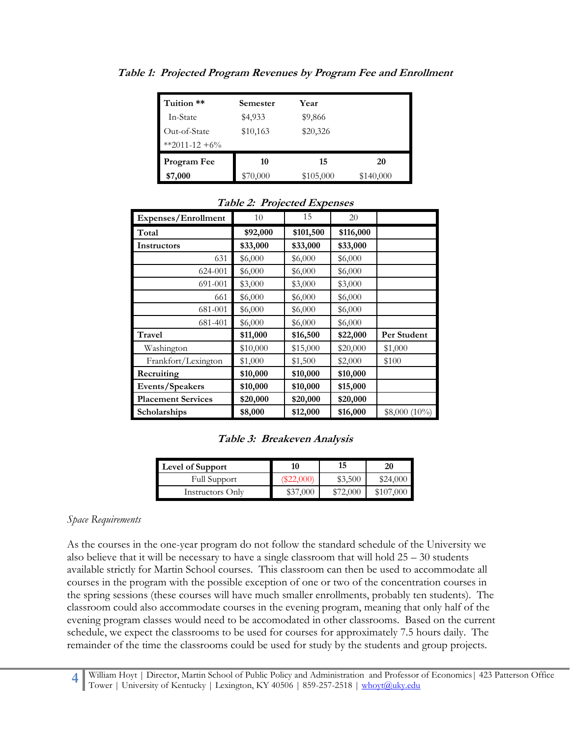| Tuition **    | Semester | Year      |           |
|---------------|----------|-----------|-----------|
| In-State      | \$4,933  | \$9,866   |           |
| Out-of-State  | \$10,163 | \$20,326  |           |
| **2011-12 +6% |          |           |           |
| Program Fee   | 10       | 15        | 20        |
| \$7,000       | \$70,000 | \$105,000 | \$140,000 |

**Table 1: Projected Program Revenues by Program Fee and Enrollment**

| Expenses/Enrollment       | 10       | 15        | 20        |                 |
|---------------------------|----------|-----------|-----------|-----------------|
| Total                     | \$92,000 | \$101,500 | \$116,000 |                 |
| Instructors               | \$33,000 | \$33,000  | \$33,000  |                 |
| 631                       | \$6,000  | \$6,000   | \$6,000   |                 |
| 624-001                   | \$6,000  | \$6,000   | \$6,000   |                 |
| 691-001                   | \$3,000  | \$3,000   | \$3,000   |                 |
| 661                       | \$6,000  | \$6,000   | \$6,000   |                 |
| 681-001                   | \$6,000  | \$6,000   | \$6,000   |                 |
| 681-401                   | \$6,000  | \$6,000   | \$6,000   |                 |
| Travel                    | \$11,000 | \$16,500  | \$22,000  | Per Student     |
| Washington                | \$10,000 | \$15,000  | \$20,000  | \$1,000         |
| Frankfort/Lexington       | \$1,000  | \$1,500   | \$2,000   | \$100           |
| Recruiting                | \$10,000 | \$10,000  | \$10,000  |                 |
| Events/Speakers           | \$10,000 | \$10,000  | \$15,000  |                 |
| <b>Placement Services</b> | \$20,000 | \$20,000  | \$20,000  |                 |
| <b>Scholarships</b>       | \$8,000  | \$12,000  | \$16,000  | $$8,000 (10\%)$ |

**Table 2: Projected Expenses**

|  | Table 3: Breakeven Analysis |  |
|--|-----------------------------|--|
|--|-----------------------------|--|

| Level of Support    | 10        | 15       | 20        |
|---------------------|-----------|----------|-----------|
| <b>Full Support</b> | \$22,000) | \$3,500  | \$24,000  |
| Instructors Only    | \$37,000  | \$72,000 | \$107,000 |

#### *Space Requirements*

As the courses in the one-year program do not follow the standard schedule of the University we also believe that it will be necessary to have a single classroom that will hold  $25 - 30$  students available strictly for Martin School courses. This classroom can then be used to accommodate all courses in the program with the possible exception of one or two of the concentration courses in the spring sessions (these courses will have much smaller enrollments, probably ten students). The classroom could also accommodate courses in the evening program, meaning that only half of the evening program classes would need to be accomodated in other classrooms. Based on the current schedule, we expect the classrooms to be used for courses for approximately 7.5 hours daily. The remainder of the time the classrooms could be used for study by the students and group projects.

**4** William Hoyt | Director, Martin School of Public Policy and Administration and Professor of Economics| 423 Patterson Office Tower | University of Kentucky | Lexington, KY 40506 | 859-257-2518 [| whoyt@uky.edu](mailto:whoyt@uky.edu)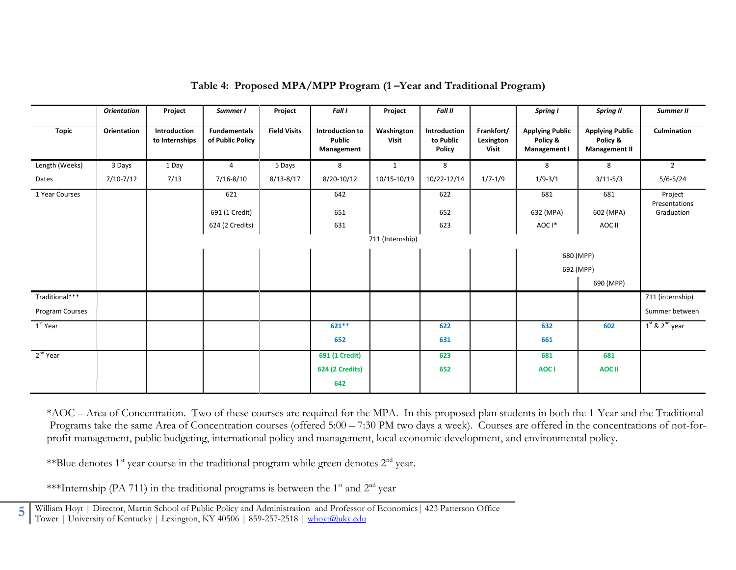|                      | <b>Orientation</b> | Project                        | Summer I                                | Project             | <b>Fall I</b>                           | Project             | <b>Fall II</b>                      |                                         | Spring I                                           | <b>Spring II</b>                                           | Summer II                |
|----------------------|--------------------|--------------------------------|-----------------------------------------|---------------------|-----------------------------------------|---------------------|-------------------------------------|-----------------------------------------|----------------------------------------------------|------------------------------------------------------------|--------------------------|
| <b>Topic</b>         | Orientation        | Introduction<br>to Internships | <b>Fundamentals</b><br>of Public Policy | <b>Field Visits</b> | Introduction to<br>Public<br>Management | Washington<br>Visit | Introduction<br>to Public<br>Policy | Frankfort/<br>Lexington<br><b>Visit</b> | <b>Applying Public</b><br>Policy &<br>Management I | <b>Applying Public</b><br>Policy &<br><b>Management II</b> | Culmination              |
| Length (Weeks)       | 3 Days             | 1 Day                          | $\overline{4}$                          | 5 Days              | 8                                       | $\mathbf{1}$        | 8                                   |                                         | 8                                                  | 8                                                          | $\overline{2}$           |
| Dates                | $7/10-7/12$        | 7/13                           | $7/16 - 8/10$                           | $8/13 - 8/17$       | $8/20-10/12$                            | 10/15-10/19         | 10/22-12/14                         | $1/7 - 1/9$                             | $1/9 - 3/1$                                        | $3/11 - 5/3$                                               | $5/6 - 5/24$             |
| 1 Year Courses       |                    |                                | 621                                     |                     | 642                                     |                     | 622                                 |                                         | 681                                                | 681                                                        | Project<br>Presentations |
|                      |                    |                                | 691 (1 Credit)                          |                     | 651                                     |                     | 652                                 |                                         | 632 (MPA)                                          | 602 (MPA)                                                  | Graduation               |
|                      |                    |                                | 624 (2 Credits)                         |                     | 631                                     |                     | 623                                 |                                         | AOC I*                                             | AOC II                                                     |                          |
|                      |                    | 711 (Internship)               |                                         |                     |                                         |                     |                                     |                                         |                                                    |                                                            |                          |
|                      |                    |                                |                                         |                     |                                         |                     |                                     |                                         |                                                    | 680 (MPP)                                                  |                          |
|                      |                    |                                |                                         |                     |                                         |                     |                                     |                                         |                                                    | 692 (MPP)                                                  |                          |
|                      |                    |                                |                                         |                     |                                         |                     |                                     |                                         |                                                    | 690 (MPP)                                                  |                          |
| Traditional***       |                    |                                |                                         |                     |                                         |                     |                                     |                                         |                                                    |                                                            | 711 (internship)         |
| Program Courses      |                    |                                |                                         |                     |                                         |                     |                                     |                                         |                                                    |                                                            | Summer between           |
| 1 <sup>st</sup> Year |                    |                                |                                         |                     | 621 **                                  |                     | 622                                 |                                         | 632                                                | 602                                                        | $1st$ & $2nd$ year       |
|                      |                    |                                |                                         |                     | 652                                     |                     | 631                                 |                                         | 661                                                |                                                            |                          |
| 2 <sup>nd</sup> Year |                    |                                |                                         |                     | 691 (1 Credit)                          |                     | 623                                 |                                         | 681                                                | 681                                                        |                          |
|                      |                    |                                |                                         |                     | <b>624 (2 Credits)</b>                  |                     | 652                                 |                                         | AOC I                                              | <b>AOC II</b>                                              |                          |
|                      |                    |                                |                                         |                     | 642                                     |                     |                                     |                                         |                                                    |                                                            |                          |

**Table 4: Proposed MPA/MPP Program (1 –Year and Traditional Program)**

\*AOC – Area of Concentration. Two of these courses are required for the MPA. In this proposed plan students in both the 1-Year and the Traditional Programs take the same Area of Concentration courses (offered 5:00 – 7:30 PM two days a week). Courses are offered in the concentrations of not-forprofit management, public budgeting, international policy and management, local economic development, and environmental policy.

\*\*Blue denotes  $1^{st}$  year course in the traditional program while green denotes  $2^{nd}$  year.

\*\*\*Internship (PA 711) in the traditional programs is between the  $1<sup>st</sup>$  and  $2<sup>nd</sup>$  year

William Hoyt | Director, Martin School of Public Policy and Administration and Professor of Economics | 423 Patterson Office Tower | University of Kentucky | Lexington, KY 40506 | 859-257-2518 | [whoyt@uky.edu](mailto:whoyt@uky.edu)

**5**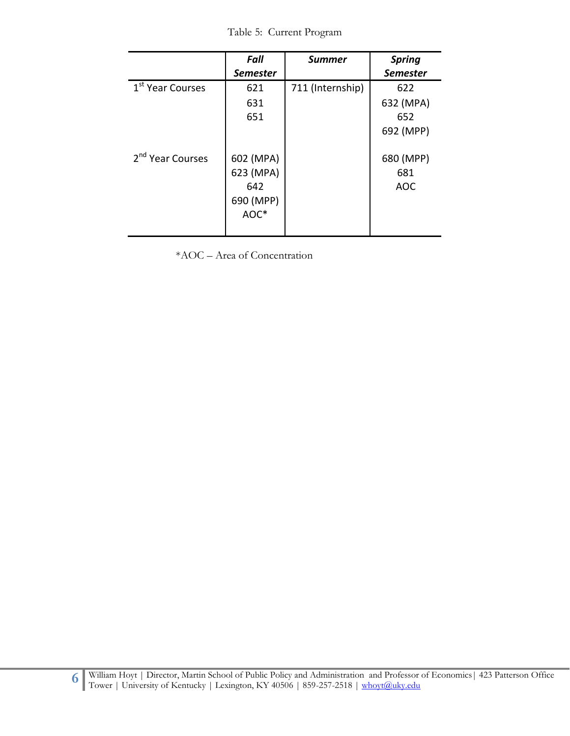Table 5: Current Program

|                              | Fall<br><b>Semester</b>                            | <b>Summer</b>    | <b>Spring</b><br><b>Semester</b>     |
|------------------------------|----------------------------------------------------|------------------|--------------------------------------|
| 1 <sup>st</sup> Year Courses | 621<br>631<br>651                                  | 711 (Internship) | 622<br>632 (MPA)<br>652<br>692 (MPP) |
| 2 <sup>nd</sup> Year Courses | 602 (MPA)<br>623 (MPA)<br>642<br>690 (MPP)<br>AOC* |                  | 680 (MPP)<br>681<br>AOC              |

\*AOC – Area of Concentration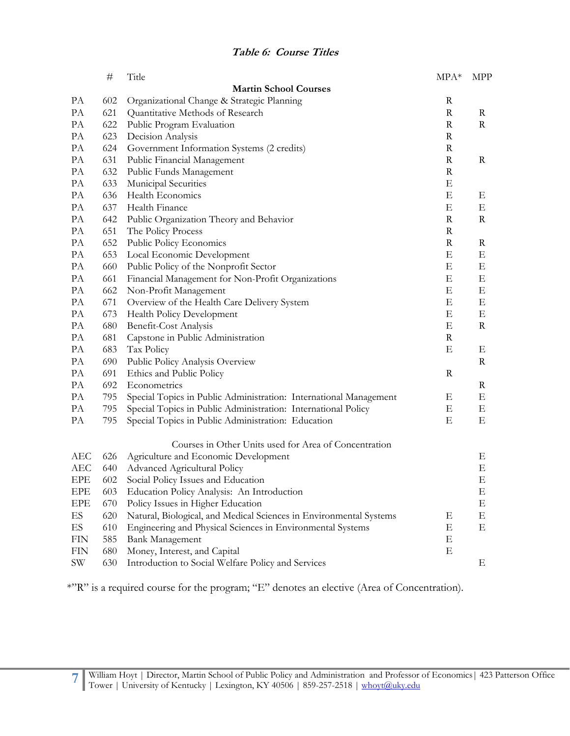|            | $^{\#}$ | Title                                                              | $MPA*$      | <b>MPP</b>  |
|------------|---------|--------------------------------------------------------------------|-------------|-------------|
|            |         | <b>Martin School Courses</b>                                       |             |             |
| PA         | 602     | Organizational Change & Strategic Planning                         | R           |             |
| PA         | 621     | Quantitative Methods of Research                                   | $\mathbf R$ | $\rm R$     |
| PA         | 622     | Public Program Evaluation                                          | $\mathbf R$ | R           |
| PA         | 623     | Decision Analysis                                                  | R           |             |
| PA         | 624     | Government Information Systems (2 credits)                         | $\mathbf R$ |             |
| PA         | 631     | Public Financial Management                                        | $\mathbf R$ | R           |
| PA         | 632     | Public Funds Management                                            | $\mathbf R$ |             |
| PA         | 633     | Municipal Securities                                               | Ε           |             |
| PA         | 636     | Health Economics                                                   | Ε           | Ε           |
| PA         | 637     | Health Finance                                                     | Ε           | Е           |
| PA         | 642     | Public Organization Theory and Behavior                            | $\mathbf R$ | R           |
| PA         | 651     | The Policy Process                                                 | R           |             |
| PA         | 652     | Public Policy Economics                                            | $\mathbf R$ | $\mathbf R$ |
| PA         | 653     | Local Economic Development                                         | Ε           | Ε           |
| PA         | 660     | Public Policy of the Nonprofit Sector                              | Ε           | Ε           |
| PA         | 661     | Financial Management for Non-Profit Organizations                  | Ε           | Ε           |
| PA         | 662     | Non-Profit Management                                              | Ε           | Ε           |
| PA         | 671     | Overview of the Health Care Delivery System                        | Ε           | E           |
| PA         | 673     | Health Policy Development                                          | Ε           | Ε           |
| PA         | 680     | Benefit-Cost Analysis                                              | Ε           | R           |
| PA         | 681     | Capstone in Public Administration                                  | $\mathbf R$ |             |
| PA         | 683     | Tax Policy                                                         | Ε           | Ε           |
| PA         | 690     | Public Policy Analysis Overview                                    |             | R           |
| PA         | 691     | Ethics and Public Policy                                           | $\mathbf R$ |             |
| PA         | 692     | Econometrics                                                       |             | R           |
| PA         | 795     | Special Topics in Public Administration: International Management  | Ε           | Ε           |
| PA         | 795     | Special Topics in Public Administration: International Policy      | Ε           | E           |
| PA         | 795     | Special Topics in Public Administration: Education                 | Ε           | Ε           |
|            |         | Courses in Other Units used for Area of Concentration              |             |             |
| <b>AEC</b> | 626     | Agriculture and Economic Development                               |             | Ε           |
| AEC        | 640     | Advanced Agricultural Policy                                       |             | E           |
| EPE        | 602     | Social Policy Issues and Education                                 |             | E           |
| EPE        | 603     | Education Policy Analysis: An Introduction                         |             | Ε           |
| EPE        | 670     | Policy Issues in Higher Education                                  |             | E           |
| ES         | 620     | Natural, Biological, and Medical Sciences in Environmental Systems | Ε           | Ε           |
| ES         | 610     | Engineering and Physical Sciences in Environmental Systems         | Ε           | E           |
| <b>FIN</b> | 585     | <b>Bank Management</b>                                             | Ε           |             |
| <b>FIN</b> | 680     | Money, Interest, and Capital                                       | Ε           |             |
| SW         | 630     | Introduction to Social Welfare Policy and Services                 |             | Е           |

\*"R" is a required course for the program; "E" denotes an elective (Area of Concentration).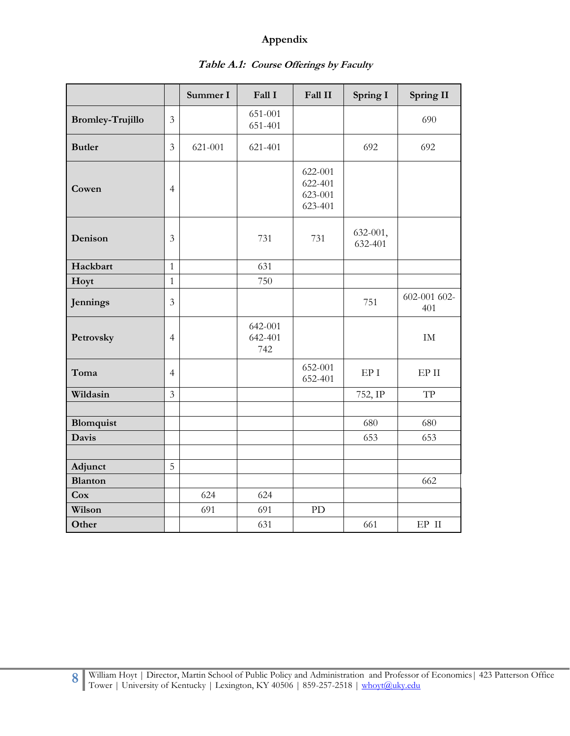## **Appendix**

|                         |                | Summer I | Fall I                    | Fall II                                  | Spring I            | Spring II           |
|-------------------------|----------------|----------|---------------------------|------------------------------------------|---------------------|---------------------|
| <b>Bromley-Trujillo</b> | 3              |          | 651-001<br>651-401        |                                          |                     | 690                 |
| <b>Butler</b>           | $\mathfrak{Z}$ | 621-001  | 621-401                   |                                          | 692                 | 692                 |
| Cowen                   | $\overline{4}$ |          |                           | 622-001<br>622-401<br>623-001<br>623-401 |                     |                     |
| Denison                 | 3              |          | 731                       | 731                                      | 632-001,<br>632-401 |                     |
| Hackbart                | $\mathbf{1}$   |          | 631                       |                                          |                     |                     |
| Hoyt                    | $\mathbf{1}$   |          | 750                       |                                          |                     |                     |
| Jennings                | 3              |          |                           |                                          | 751                 | 602-001 602-<br>401 |
| Petrovsky               | $\overline{4}$ |          | 642-001<br>642-401<br>742 |                                          |                     | $\rm IM$            |
| Toma                    | $\overline{4}$ |          |                           | 652-001<br>652-401                       | ${\rm EP}$ I        | $EP$ II             |
| Wildasin                | $\overline{3}$ |          |                           |                                          | 752, IP             | <b>TP</b>           |
|                         |                |          |                           |                                          |                     |                     |
| Blomquist               |                |          |                           |                                          | 680                 | 680                 |
| Davis                   |                |          |                           |                                          | 653                 | 653                 |
|                         |                |          |                           |                                          |                     |                     |
| Adjunct                 | 5              |          |                           |                                          |                     |                     |
| <b>Blanton</b>          |                |          |                           |                                          |                     | 662                 |
| Cox                     |                | 624      | 624                       |                                          |                     |                     |
| Wilson                  |                | 691      | 691                       | PD                                       |                     |                     |
| Other                   |                |          | 631                       |                                          | 661                 | $EP$ II             |

# **Table A.1: Course Offerings by Faculty**

**8** William Hoyt | Director, Martin School of Public Policy and Administration and Professor of Economics | 423 Patterson Office Tower | University of Kentucky | Lexington, KY 40506 | 859-257-2518 [| whoyt@uky.edu](mailto:whoyt@uky.edu)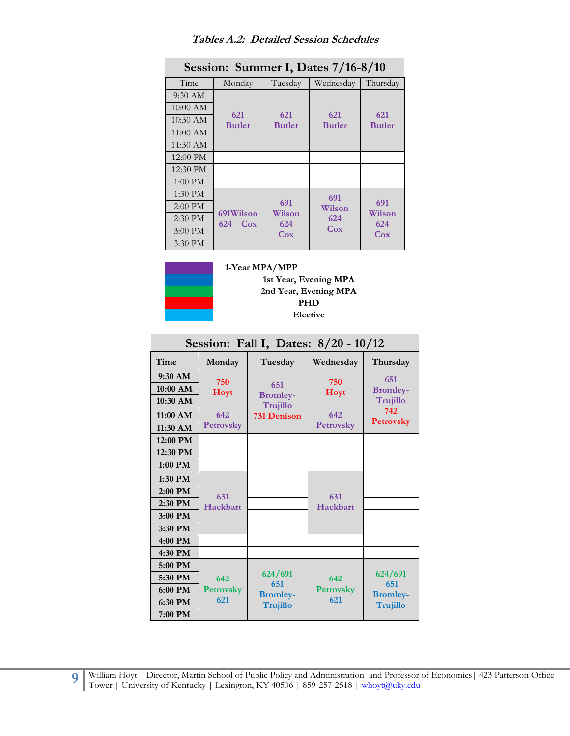| Session: Summer I, Dates 7/16-8/10 |                                     |                      |                      |                      |  |  |
|------------------------------------|-------------------------------------|----------------------|----------------------|----------------------|--|--|
| Time                               | Monday                              | Tuesday              | Wednesday            | Thursday             |  |  |
| 9:30 AM                            |                                     |                      |                      |                      |  |  |
| $10:00 \text{ AM}$                 |                                     |                      |                      |                      |  |  |
| $10:30$ AM                         | 621<br><b>Butler</b>                | 621<br><b>Butler</b> | 621<br><b>Butler</b> | 621<br><b>Butler</b> |  |  |
| $11:00 \text{ AM}$                 |                                     |                      |                      |                      |  |  |
| 11:30 AM                           |                                     |                      |                      |                      |  |  |
| 12:00 PM                           |                                     |                      |                      |                      |  |  |
| 12:30 PM                           |                                     |                      |                      |                      |  |  |
| $1:00$ PM                          |                                     |                      |                      |                      |  |  |
| $1:30$ PM                          |                                     |                      | 691                  |                      |  |  |
| $2:00$ PM                          |                                     | 691                  | Wilson               | 691                  |  |  |
| 2:30 PM                            | 691Wilson<br>624<br>C <sub>ox</sub> | Wilson<br>624        | 624                  | Wilson<br>624        |  |  |
| $3:00$ PM                          |                                     | C <sub>ox</sub>      | C <sub>ox</sub>      | Cox                  |  |  |
| $3:30$ PM                          |                                     |                      |                      |                      |  |  |

### **Tables A.2: Detailed Session Schedules**



**1-Year MPA/MPP 1st Year, Evening MPA 2nd Year, Evening MPA PHD Elective**

|                                     | Session: Fall I, Dates: 8/20 - 10/12 |                                    |                         |                                    |  |  |  |
|-------------------------------------|--------------------------------------|------------------------------------|-------------------------|------------------------------------|--|--|--|
| Time                                | Monday                               | Tuesday                            | Wednesday               | Thursday                           |  |  |  |
| $9:30$ AM<br>10:00 AM<br>$10:30$ AM | 750<br>Hoyt                          | 651<br><b>Bromley-</b><br>Trujillo | 750<br>Hoyt             | 651<br><b>Bromley-</b><br>Trujillo |  |  |  |
| $11:00$ AM<br>11:30 AM              | 642<br><b>Petrovsky</b>              | <b>731 Denison</b>                 | 642<br><b>Petrovsky</b> | 742<br><b>Petrovsky</b>            |  |  |  |
| 12:00 PM                            |                                      |                                    |                         |                                    |  |  |  |
| 12:30 PM                            |                                      |                                    |                         |                                    |  |  |  |
| 1:00 PM                             |                                      |                                    |                         |                                    |  |  |  |
| 1:30 PM                             |                                      |                                    |                         |                                    |  |  |  |
| 2:00 PM                             | 631                                  |                                    | 631                     |                                    |  |  |  |
| 2:30 PM                             | Hackbart                             |                                    | Hackbart                |                                    |  |  |  |
| 3:00 PM                             |                                      |                                    |                         |                                    |  |  |  |
| 3:30 PM                             |                                      |                                    |                         |                                    |  |  |  |
| 4:00 PM                             |                                      |                                    |                         |                                    |  |  |  |
| 4:30 PM                             |                                      |                                    |                         |                                    |  |  |  |
| 5:00 PM                             |                                      |                                    |                         |                                    |  |  |  |
| 5:30 PM                             | 642                                  | 624/691                            | 642                     | 624/691                            |  |  |  |
| 6:00 PM                             | <b>Petrovsky</b>                     | 651<br><b>Bromley-</b>             | <b>Petrovsky</b>        | 651<br><b>Bromley-</b>             |  |  |  |
| 6:30 PM                             | 621                                  | Trujillo                           | 621                     | <b>Trujillo</b>                    |  |  |  |
| 7:00 PM                             |                                      |                                    |                         |                                    |  |  |  |

William Hoyt | Director, Martin School of Public Policy and Administration and Professor of Economics | 423 Patterson Office Tower | University of Kentucky | Lexington, KY 40506 | 859-257-2518 [| whoyt@uky.edu](mailto:whoyt@uky.edu)

**9**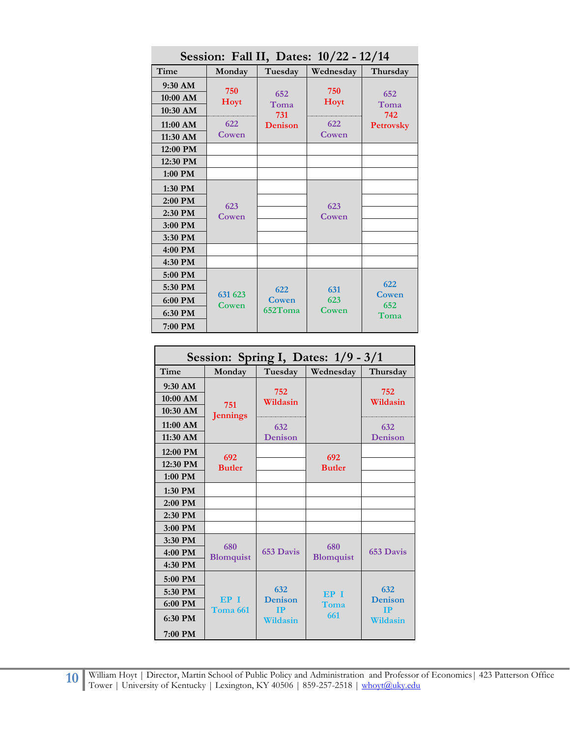| $Stessi$ can ii, Dates: $10/22 - 12/14$ |                  |             |                    |                  |  |  |
|-----------------------------------------|------------------|-------------|--------------------|------------------|--|--|
| Time                                    | Monday           | Tuesday     | Wednesday          | Thursday         |  |  |
| 9:30 AM<br>10:00 AM                     | 750<br>Hoyt      | 652<br>Toma | 750<br><b>Hoyt</b> | 652<br>Toma      |  |  |
| 10:30 AM                                |                  | 731         |                    | 742              |  |  |
| 11:00 AM                                | 622              | Denison     | 622                | <b>Petrovsky</b> |  |  |
| 11:30 AM                                | Cowen            |             | Cowen              |                  |  |  |
| 12:00 PM                                |                  |             |                    |                  |  |  |
| 12:30 PM                                |                  |             |                    |                  |  |  |
| 1:00 PM                                 |                  |             |                    |                  |  |  |
| 1:30 PM                                 |                  |             |                    |                  |  |  |
| 2:00 PM                                 | 623              |             | 623                |                  |  |  |
| 2:30 PM                                 | Cowen            |             | Cowen              |                  |  |  |
| 3:00 PM                                 |                  |             |                    |                  |  |  |
| 3:30 PM                                 |                  |             |                    |                  |  |  |
| 4:00 PM                                 |                  |             |                    |                  |  |  |
| 4:30 PM                                 |                  |             |                    |                  |  |  |
| 5:00 PM                                 |                  |             |                    |                  |  |  |
| 5:30 PM                                 |                  | 622         | 631                | 622              |  |  |
| 6:00 PM                                 | 631 623<br>Cowen | Cowen       | 623                | Cowen<br>652     |  |  |
| 6:30 PM                                 |                  | 652Toma     | Cowen              | Toma             |  |  |
| 7:00 PM                                 |                  |             |                    |                  |  |  |

**Session: Fall II, Dates: 10/22 - 12/14**

| Session: Spring I, Dates: $1/9 - 3/1$ |                             |                             |                  |                             |  |
|---------------------------------------|-----------------------------|-----------------------------|------------------|-----------------------------|--|
| Time                                  | Monday                      | Tuesday                     | Wednesday        | Thursday                    |  |
| $9:30$ AM                             |                             | 752                         |                  | 752                         |  |
| 10:00 AM                              | 751                         | Wildasin                    |                  | Wildasin                    |  |
| 10:30 AM                              | <b>Jennings</b>             |                             |                  |                             |  |
| $11:00$ AM                            |                             | 632                         |                  | 632                         |  |
| 11:30 AM                              |                             | Denison                     |                  | Denison                     |  |
| $12:00$ PM                            | 692                         |                             | 692              |                             |  |
| 12:30 PM                              | <b>Butler</b>               |                             | <b>Butler</b>    |                             |  |
| $1:00$ PM                             |                             |                             |                  |                             |  |
| 1:30 PM                               |                             |                             |                  |                             |  |
| 2:00 PM                               |                             |                             |                  |                             |  |
| $2:30$ PM                             |                             |                             |                  |                             |  |
| 3:00 PM                               |                             |                             |                  |                             |  |
| 3:30 PM                               | 680                         |                             | 680              |                             |  |
| $4:00$ PM                             | <b>Blomquist</b>            | 653 Davis                   | <b>Blomquist</b> | 653 Davis                   |  |
| 4:30 PM                               |                             |                             |                  |                             |  |
| 5:00 PM                               |                             |                             |                  |                             |  |
| 5:30 PM                               |                             | 632                         | <b>EP I</b>      | 632                         |  |
| 6:00 PM                               | EP I<br>Toma <sub>661</sub> | <b>Denison</b><br><b>IP</b> | Toma             | <b>Denison</b><br><b>TP</b> |  |
| 6:30 PM                               |                             | Wildasin                    | 661              | Wildasin                    |  |
| 7:00 PM                               |                             |                             |                  |                             |  |